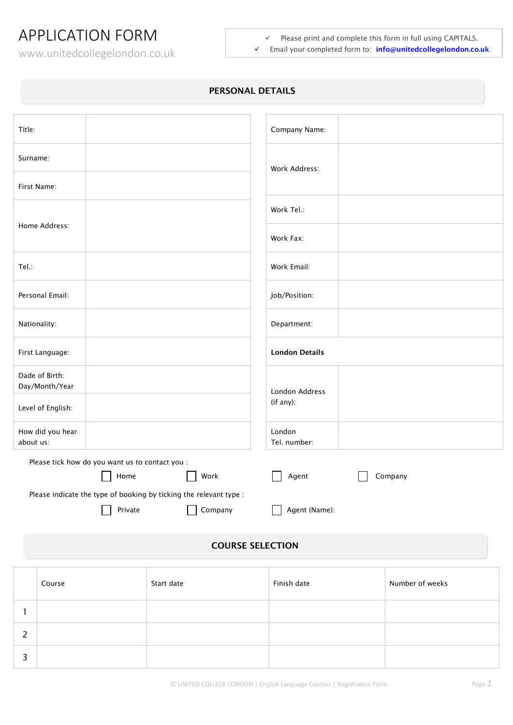## APPLICATION FORM

www.unitedcollegelondon.co.uk

 $\checkmark$  Please print and complete this form in full using CAPITALS. Email your completed form to: **info@[unitedcollegelondon.co.uk](mailto:info@unitedcollegelondon.co.uk)**

## **PERSONAL DETAILS**

| Title:                           |                                                                    |         | Company Name:          |         |
|----------------------------------|--------------------------------------------------------------------|---------|------------------------|---------|
| Surname:                         |                                                                    |         | Work Address:          |         |
| First Name:                      |                                                                    |         |                        |         |
|                                  |                                                                    |         | Work Tel.:             |         |
| Home Address:                    |                                                                    |         | Work Fax:              |         |
| Tel:                             |                                                                    |         | Work Email:            |         |
| Personal Email:                  |                                                                    |         | Job/Position:          |         |
| Nationality:                     |                                                                    |         | Department:            |         |
| First Language:                  |                                                                    |         | <b>London Details</b>  |         |
| Dade of Birth:<br>Day/Month/Year |                                                                    |         | London Address         |         |
| Level of English:                |                                                                    |         | (if any):              |         |
| How did you hear<br>about us:    |                                                                    |         | London<br>Tel. number: |         |
|                                  | Please tick how do you want us to contact you :                    |         |                        |         |
|                                  | Home                                                               | Work    | Agent                  | Company |
|                                  | Please indicate the type of booking by ticking the relevant type : |         |                        |         |
|                                  | Private                                                            | Company | Agent (Name):          |         |

## **COURSE SELECTION**

| Course | Start date | Finish date | Number of weeks |
|--------|------------|-------------|-----------------|
|        |            |             |                 |
|        |            |             |                 |
|        |            |             |                 |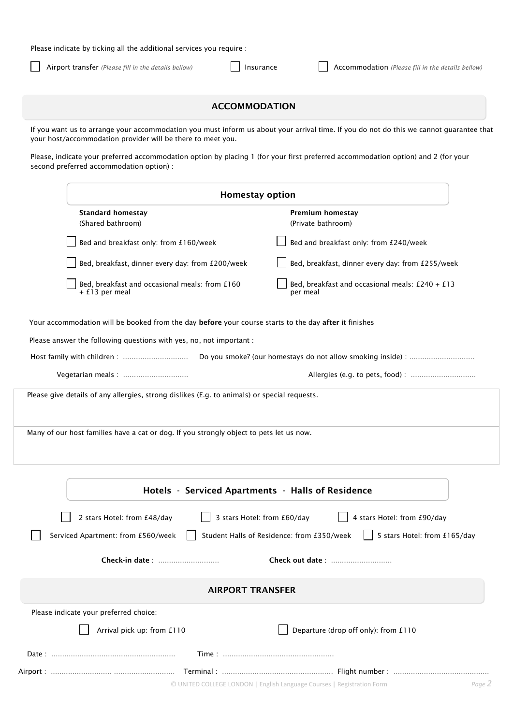Please indicate by ticking all the additional services you require :

Airport transfer *(Please fill in the details bellow)* **Insurance Accommodation** *(Please fill in the details bellow)* 

|  | ACCOMMODATION |
|--|---------------|
|  |               |

If you want us to arrange your accommodation you must inform us about your arrival time. If you do not do this we cannot guarantee that your host/accommodation provider will be there to meet you.

Please, indicate your preferred accommodation option by placing 1 (for your first preferred accommodation option) and 2 (for your second preferred accommodation option) :

| <b>Standard homestay</b><br>Premium homestay<br>(Shared bathroom)<br>(Private bathroom)<br>Bed and breakfast only: from £160/week<br>Bed and breakfast only: from £240/week<br>Bed, breakfast, dinner every day: from £200/week<br>Bed, breakfast, dinner every day: from £255/week<br>Bed, breakfast and occasional meals: from £160<br>Bed, breakfast and occasional meals: $£240 + £13$<br>+ £13 per meal<br>per meal<br>Your accommodation will be booked from the day before your course starts to the day after it finishes<br>Please answer the following questions with yes, no, not important :<br>Please give details of any allergies, strong dislikes (E.g. to animals) or special requests.<br>Many of our host families have a cat or dog. If you strongly object to pets let us now.<br>Hotels - Serviced Apartments - Halls of Residence<br>3 stars Hotel: from £60/day<br>4 stars Hotel: from £90/day<br>2 stars Hotel: from £48/day |  | <b>Homestay option</b> |                              |  |
|-------------------------------------------------------------------------------------------------------------------------------------------------------------------------------------------------------------------------------------------------------------------------------------------------------------------------------------------------------------------------------------------------------------------------------------------------------------------------------------------------------------------------------------------------------------------------------------------------------------------------------------------------------------------------------------------------------------------------------------------------------------------------------------------------------------------------------------------------------------------------------------------------------------------------------------------------------|--|------------------------|------------------------------|--|
|                                                                                                                                                                                                                                                                                                                                                                                                                                                                                                                                                                                                                                                                                                                                                                                                                                                                                                                                                       |  |                        |                              |  |
|                                                                                                                                                                                                                                                                                                                                                                                                                                                                                                                                                                                                                                                                                                                                                                                                                                                                                                                                                       |  |                        |                              |  |
|                                                                                                                                                                                                                                                                                                                                                                                                                                                                                                                                                                                                                                                                                                                                                                                                                                                                                                                                                       |  |                        |                              |  |
|                                                                                                                                                                                                                                                                                                                                                                                                                                                                                                                                                                                                                                                                                                                                                                                                                                                                                                                                                       |  |                        |                              |  |
|                                                                                                                                                                                                                                                                                                                                                                                                                                                                                                                                                                                                                                                                                                                                                                                                                                                                                                                                                       |  |                        |                              |  |
|                                                                                                                                                                                                                                                                                                                                                                                                                                                                                                                                                                                                                                                                                                                                                                                                                                                                                                                                                       |  |                        |                              |  |
|                                                                                                                                                                                                                                                                                                                                                                                                                                                                                                                                                                                                                                                                                                                                                                                                                                                                                                                                                       |  |                        |                              |  |
|                                                                                                                                                                                                                                                                                                                                                                                                                                                                                                                                                                                                                                                                                                                                                                                                                                                                                                                                                       |  |                        |                              |  |
|                                                                                                                                                                                                                                                                                                                                                                                                                                                                                                                                                                                                                                                                                                                                                                                                                                                                                                                                                       |  |                        |                              |  |
|                                                                                                                                                                                                                                                                                                                                                                                                                                                                                                                                                                                                                                                                                                                                                                                                                                                                                                                                                       |  |                        |                              |  |
|                                                                                                                                                                                                                                                                                                                                                                                                                                                                                                                                                                                                                                                                                                                                                                                                                                                                                                                                                       |  |                        |                              |  |
|                                                                                                                                                                                                                                                                                                                                                                                                                                                                                                                                                                                                                                                                                                                                                                                                                                                                                                                                                       |  |                        |                              |  |
| Serviced Apartment: from £560/week<br>Student Halls of Residence: from £350/week                                                                                                                                                                                                                                                                                                                                                                                                                                                                                                                                                                                                                                                                                                                                                                                                                                                                      |  |                        |                              |  |
| Check out date:                                                                                                                                                                                                                                                                                                                                                                                                                                                                                                                                                                                                                                                                                                                                                                                                                                                                                                                                       |  |                        | 5 stars Hotel: from £165/day |  |
| <b>AIRPORT TRANSFER</b>                                                                                                                                                                                                                                                                                                                                                                                                                                                                                                                                                                                                                                                                                                                                                                                                                                                                                                                               |  |                        |                              |  |
| Please indicate your preferred choice:                                                                                                                                                                                                                                                                                                                                                                                                                                                                                                                                                                                                                                                                                                                                                                                                                                                                                                                |  |                        |                              |  |
| Departure (drop off only): from £110<br>Arrival pick up: from £110                                                                                                                                                                                                                                                                                                                                                                                                                                                                                                                                                                                                                                                                                                                                                                                                                                                                                    |  |                        |                              |  |
|                                                                                                                                                                                                                                                                                                                                                                                                                                                                                                                                                                                                                                                                                                                                                                                                                                                                                                                                                       |  |                        |                              |  |
|                                                                                                                                                                                                                                                                                                                                                                                                                                                                                                                                                                                                                                                                                                                                                                                                                                                                                                                                                       |  |                        |                              |  |